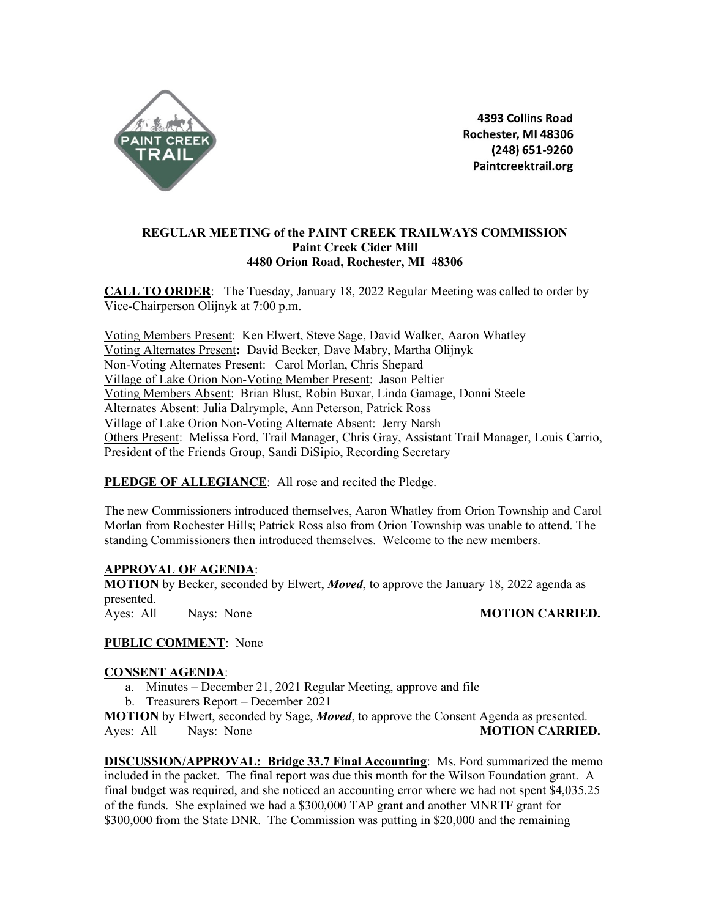

4393 Collins Road Rochester, MI 48306 (248) 651-9260 Paintcreektrail.org

# **REGULAR MEETING of the PAINT CREEK TRAILWAYS COMMISSION Paint Creek Cider Mill 4480 Orion Road, Rochester, MI 48306**

**CALL TO ORDER**: The Tuesday, January 18, 2022 Regular Meeting was called to order by Vice-Chairperson Olijnyk at 7:00 p.m.

Voting Members Present: Ken Elwert, Steve Sage, David Walker, Aaron Whatley Voting Alternates Present**:** David Becker, Dave Mabry, Martha Olijnyk Non-Voting Alternates Present: Carol Morlan, Chris Shepard Village of Lake Orion Non-Voting Member Present: Jason Peltier Voting Members Absent: Brian Blust, Robin Buxar, Linda Gamage, Donni Steele Alternates Absent: Julia Dalrymple, Ann Peterson, Patrick Ross Village of Lake Orion Non-Voting Alternate Absent: Jerry Narsh Others Present: Melissa Ford, Trail Manager, Chris Gray, Assistant Trail Manager, Louis Carrio, President of the Friends Group, Sandi DiSipio, Recording Secretary

# **PLEDGE OF ALLEGIANCE:** All rose and recited the Pledge.

The new Commissioners introduced themselves, Aaron Whatley from Orion Township and Carol Morlan from Rochester Hills; Patrick Ross also from Orion Township was unable to attend. The standing Commissioners then introduced themselves. Welcome to the new members.

# **APPROVAL OF AGENDA**:

**MOTION** by Becker, seconded by Elwert, *Moved*, to approve the January 18, 2022 agenda as presented. Ayes: All Nays: None **MOTION CARRIED.**

### **PUBLIC COMMENT**: None

### **CONSENT AGENDA**:

- a. Minutes December 21, 2021 Regular Meeting, approve and file
- b. Treasurers Report December 2021

**MOTION** by Elwert, seconded by Sage, *Moved*, to approve the Consent Agenda as presented. Ayes: All Nays: None **MOTION CARRIED.**

**DISCUSSION/APPROVAL: Bridge 33.7 Final Accounting**: Ms. Ford summarized the memo included in the packet. The final report was due this month for the Wilson Foundation grant. A final budget was required, and she noticed an accounting error where we had not spent \$4,035.25 of the funds. She explained we had a \$300,000 TAP grant and another MNRTF grant for \$300,000 from the State DNR. The Commission was putting in \$20,000 and the remaining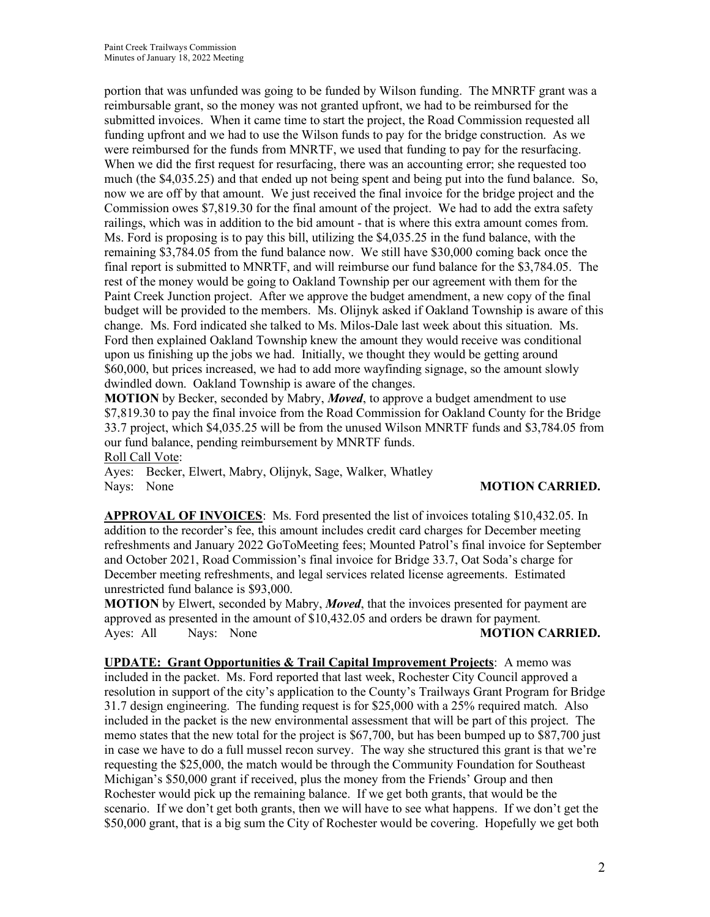portion that was unfunded was going to be funded by Wilson funding. The MNRTF grant was a reimbursable grant, so the money was not granted upfront, we had to be reimbursed for the submitted invoices. When it came time to start the project, the Road Commission requested all funding upfront and we had to use the Wilson funds to pay for the bridge construction. As we were reimbursed for the funds from MNRTF, we used that funding to pay for the resurfacing. When we did the first request for resurfacing, there was an accounting error; she requested too much (the \$4,035.25) and that ended up not being spent and being put into the fund balance. So, now we are off by that amount. We just received the final invoice for the bridge project and the Commission owes \$7,819.30 for the final amount of the project. We had to add the extra safety railings, which was in addition to the bid amount - that is where this extra amount comes from. Ms. Ford is proposing is to pay this bill, utilizing the \$4,035.25 in the fund balance, with the remaining \$3,784.05 from the fund balance now. We still have \$30,000 coming back once the final report is submitted to MNRTF, and will reimburse our fund balance for the \$3,784.05. The rest of the money would be going to Oakland Township per our agreement with them for the Paint Creek Junction project. After we approve the budget amendment, a new copy of the final budget will be provided to the members. Ms. Olijnyk asked if Oakland Township is aware of this change. Ms. Ford indicated she talked to Ms. Milos-Dale last week about this situation. Ms. Ford then explained Oakland Township knew the amount they would receive was conditional upon us finishing up the jobs we had. Initially, we thought they would be getting around \$60,000, but prices increased, we had to add more wayfinding signage, so the amount slowly dwindled down. Oakland Township is aware of the changes.

**MOTION** by Becker, seconded by Mabry, *Moved*, to approve a budget amendment to use \$7,819.30 to pay the final invoice from the Road Commission for Oakland County for the Bridge 33.7 project, which \$4,035.25 will be from the unused Wilson MNRTF funds and \$3,784.05 from our fund balance, pending reimbursement by MNRTF funds. Roll Call Vote:

Ayes: Becker, Elwert, Mabry, Olijnyk, Sage, Walker, Whatley Nays: None **MOTION CARRIED.** 

**APPROVAL OF INVOICES**: Ms. Ford presented the list of invoices totaling \$10,432.05. In addition to the recorder's fee, this amount includes credit card charges for December meeting refreshments and January 2022 GoToMeeting fees; Mounted Patrol's final invoice for September and October 2021, Road Commission's final invoice for Bridge 33.7, Oat Soda's charge for December meeting refreshments, and legal services related license agreements. Estimated unrestricted fund balance is \$93,000.

**MOTION** by Elwert, seconded by Mabry, *Moved*, that the invoices presented for payment are approved as presented in the amount of \$10,432.05 and orders be drawn for payment. Ayes: All Nays: None **MOTION CARRIED.** 

**UPDATE: Grant Opportunities & Trail Capital Improvement Projects**: A memo was included in the packet. Ms. Ford reported that last week, Rochester City Council approved a resolution in support of the city's application to the County's Trailways Grant Program for Bridge 31.7 design engineering. The funding request is for \$25,000 with a 25% required match. Also included in the packet is the new environmental assessment that will be part of this project. The memo states that the new total for the project is \$67,700, but has been bumped up to \$87,700 just in case we have to do a full mussel recon survey. The way she structured this grant is that we're requesting the \$25,000, the match would be through the Community Foundation for Southeast Michigan's \$50,000 grant if received, plus the money from the Friends' Group and then Rochester would pick up the remaining balance. If we get both grants, that would be the scenario. If we don't get both grants, then we will have to see what happens. If we don't get the \$50,000 grant, that is a big sum the City of Rochester would be covering. Hopefully we get both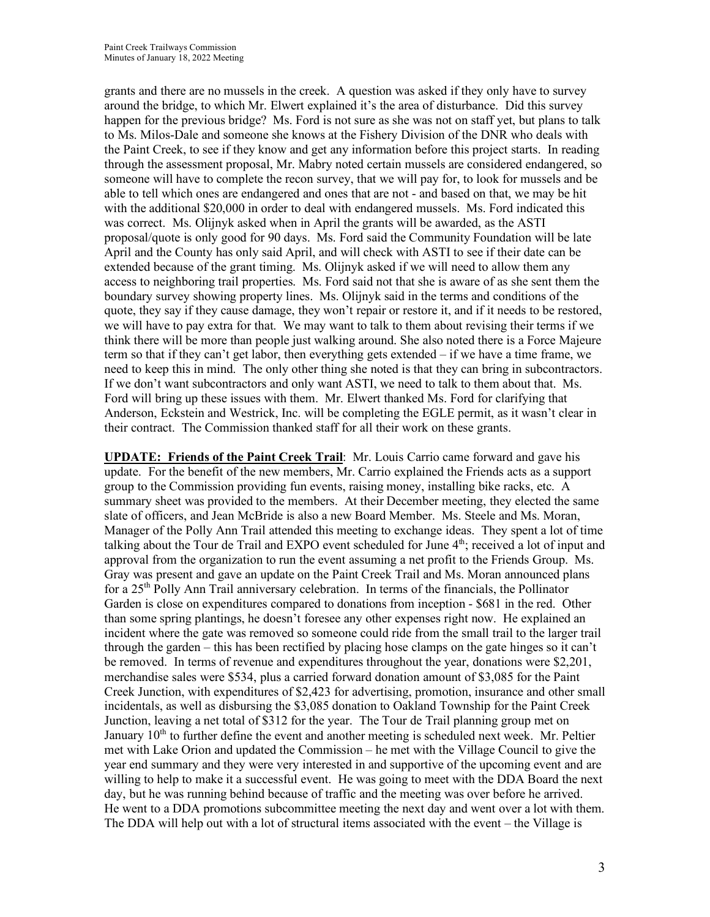grants and there are no mussels in the creek. A question was asked if they only have to survey around the bridge, to which Mr. Elwert explained it's the area of disturbance. Did this survey happen for the previous bridge? Ms. Ford is not sure as she was not on staff yet, but plans to talk to Ms. Milos-Dale and someone she knows at the Fishery Division of the DNR who deals with the Paint Creek, to see if they know and get any information before this project starts. In reading through the assessment proposal, Mr. Mabry noted certain mussels are considered endangered, so someone will have to complete the recon survey, that we will pay for, to look for mussels and be able to tell which ones are endangered and ones that are not - and based on that, we may be hit with the additional \$20,000 in order to deal with endangered mussels. Ms. Ford indicated this was correct. Ms. Olijnyk asked when in April the grants will be awarded, as the ASTI proposal/quote is only good for 90 days. Ms. Ford said the Community Foundation will be late April and the County has only said April, and will check with ASTI to see if their date can be extended because of the grant timing. Ms. Olijnyk asked if we will need to allow them any access to neighboring trail properties. Ms. Ford said not that she is aware of as she sent them the boundary survey showing property lines. Ms. Olijnyk said in the terms and conditions of the quote, they say if they cause damage, they won't repair or restore it, and if it needs to be restored, we will have to pay extra for that. We may want to talk to them about revising their terms if we think there will be more than people just walking around. She also noted there is a Force Majeure term so that if they can't get labor, then everything gets extended – if we have a time frame, we need to keep this in mind. The only other thing she noted is that they can bring in subcontractors. If we don't want subcontractors and only want ASTI, we need to talk to them about that. Ms. Ford will bring up these issues with them. Mr. Elwert thanked Ms. Ford for clarifying that Anderson, Eckstein and Westrick, Inc. will be completing the EGLE permit, as it wasn't clear in their contract. The Commission thanked staff for all their work on these grants.

**UPDATE: Friends of the Paint Creek Trail**: Mr. Louis Carrio came forward and gave his update. For the benefit of the new members, Mr. Carrio explained the Friends acts as a support group to the Commission providing fun events, raising money, installing bike racks, etc. A summary sheet was provided to the members. At their December meeting, they elected the same slate of officers, and Jean McBride is also a new Board Member. Ms. Steele and Ms. Moran, Manager of the Polly Ann Trail attended this meeting to exchange ideas. They spent a lot of time talking about the Tour de Trail and EXPO event scheduled for June  $4<sup>th</sup>$ ; received a lot of input and approval from the organization to run the event assuming a net profit to the Friends Group. Ms. Gray was present and gave an update on the Paint Creek Trail and Ms. Moran announced plans for a  $25<sup>th</sup>$  Polly Ann Trail anniversary celebration. In terms of the financials, the Pollinator Garden is close on expenditures compared to donations from inception - \$681 in the red. Other than some spring plantings, he doesn't foresee any other expenses right now. He explained an incident where the gate was removed so someone could ride from the small trail to the larger trail through the garden – this has been rectified by placing hose clamps on the gate hinges so it can't be removed. In terms of revenue and expenditures throughout the year, donations were \$2,201, merchandise sales were \$534, plus a carried forward donation amount of \$3,085 for the Paint Creek Junction, with expenditures of \$2,423 for advertising, promotion, insurance and other small incidentals, as well as disbursing the \$3,085 donation to Oakland Township for the Paint Creek Junction, leaving a net total of \$312 for the year. The Tour de Trail planning group met on January  $10<sup>th</sup>$  to further define the event and another meeting is scheduled next week. Mr. Peltier met with Lake Orion and updated the Commission – he met with the Village Council to give the year end summary and they were very interested in and supportive of the upcoming event and are willing to help to make it a successful event. He was going to meet with the DDA Board the next day, but he was running behind because of traffic and the meeting was over before he arrived. He went to a DDA promotions subcommittee meeting the next day and went over a lot with them. The DDA will help out with a lot of structural items associated with the event – the Village is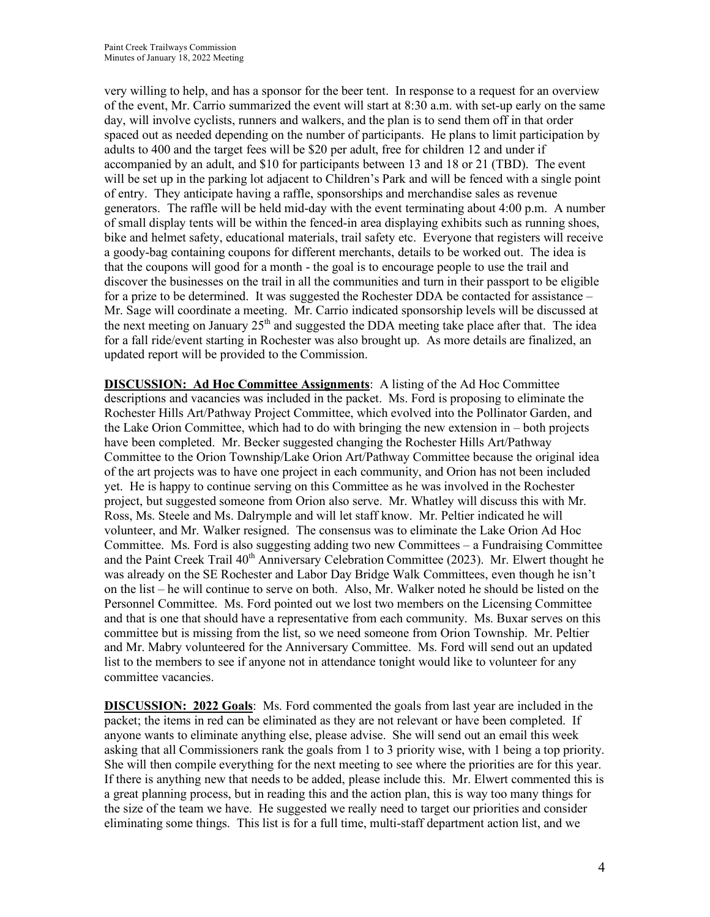very willing to help, and has a sponsor for the beer tent. In response to a request for an overview of the event, Mr. Carrio summarized the event will start at 8:30 a.m. with set-up early on the same day, will involve cyclists, runners and walkers, and the plan is to send them off in that order spaced out as needed depending on the number of participants. He plans to limit participation by adults to 400 and the target fees will be \$20 per adult, free for children 12 and under if accompanied by an adult, and \$10 for participants between 13 and 18 or 21 (TBD). The event will be set up in the parking lot adjacent to Children's Park and will be fenced with a single point of entry. They anticipate having a raffle, sponsorships and merchandise sales as revenue generators. The raffle will be held mid-day with the event terminating about 4:00 p.m. A number of small display tents will be within the fenced-in area displaying exhibits such as running shoes, bike and helmet safety, educational materials, trail safety etc. Everyone that registers will receive a goody-bag containing coupons for different merchants, details to be worked out. The idea is that the coupons will good for a month - the goal is to encourage people to use the trail and discover the businesses on the trail in all the communities and turn in their passport to be eligible for a prize to be determined. It was suggested the Rochester DDA be contacted for assistance – Mr. Sage will coordinate a meeting. Mr. Carrio indicated sponsorship levels will be discussed at the next meeting on January  $25<sup>th</sup>$  and suggested the DDA meeting take place after that. The idea for a fall ride/event starting in Rochester was also brought up. As more details are finalized, an updated report will be provided to the Commission.

**DISCUSSION: Ad Hoc Committee Assignments**: A listing of the Ad Hoc Committee descriptions and vacancies was included in the packet. Ms. Ford is proposing to eliminate the Rochester Hills Art/Pathway Project Committee, which evolved into the Pollinator Garden, and the Lake Orion Committee, which had to do with bringing the new extension in – both projects have been completed. Mr. Becker suggested changing the Rochester Hills Art/Pathway Committee to the Orion Township/Lake Orion Art/Pathway Committee because the original idea of the art projects was to have one project in each community, and Orion has not been included yet. He is happy to continue serving on this Committee as he was involved in the Rochester project, but suggested someone from Orion also serve. Mr. Whatley will discuss this with Mr. Ross, Ms. Steele and Ms. Dalrymple and will let staff know. Mr. Peltier indicated he will volunteer, and Mr. Walker resigned. The consensus was to eliminate the Lake Orion Ad Hoc Committee. Ms. Ford is also suggesting adding two new Committees – a Fundraising Committee and the Paint Creek Trail 40<sup>th</sup> Anniversary Celebration Committee (2023). Mr. Elwert thought he was already on the SE Rochester and Labor Day Bridge Walk Committees, even though he isn't on the list – he will continue to serve on both. Also, Mr. Walker noted he should be listed on the Personnel Committee. Ms. Ford pointed out we lost two members on the Licensing Committee and that is one that should have a representative from each community. Ms. Buxar serves on this committee but is missing from the list, so we need someone from Orion Township. Mr. Peltier and Mr. Mabry volunteered for the Anniversary Committee. Ms. Ford will send out an updated list to the members to see if anyone not in attendance tonight would like to volunteer for any committee vacancies.

**DISCUSSION: 2022 Goals**: Ms. Ford commented the goals from last year are included in the packet; the items in red can be eliminated as they are not relevant or have been completed. If anyone wants to eliminate anything else, please advise. She will send out an email this week asking that all Commissioners rank the goals from 1 to 3 priority wise, with 1 being a top priority. She will then compile everything for the next meeting to see where the priorities are for this year. If there is anything new that needs to be added, please include this. Mr. Elwert commented this is a great planning process, but in reading this and the action plan, this is way too many things for the size of the team we have. He suggested we really need to target our priorities and consider eliminating some things. This list is for a full time, multi-staff department action list, and we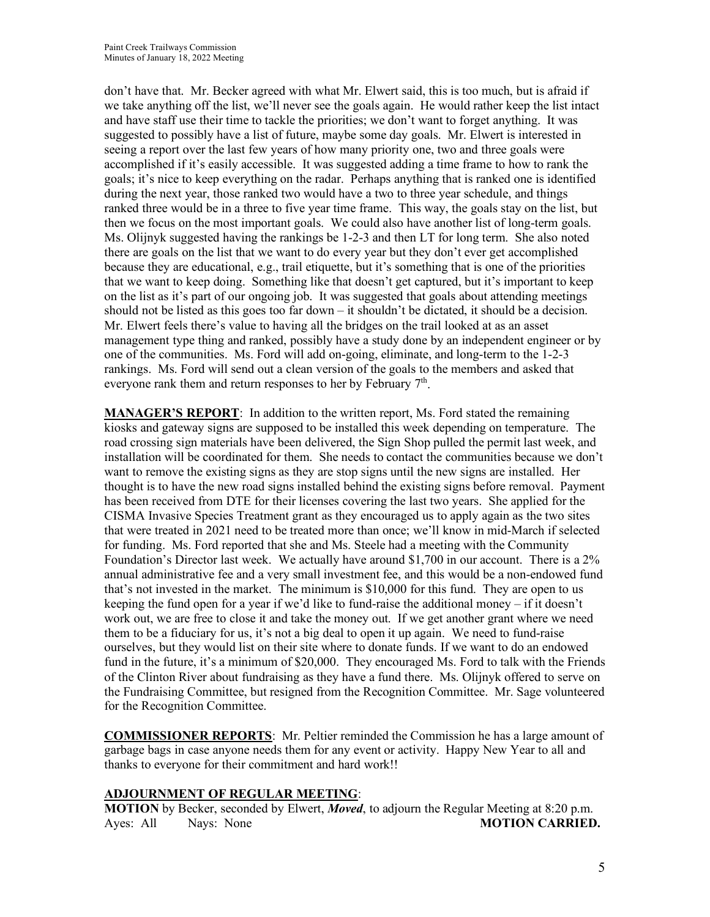don't have that. Mr. Becker agreed with what Mr. Elwert said, this is too much, but is afraid if we take anything off the list, we'll never see the goals again. He would rather keep the list intact and have staff use their time to tackle the priorities; we don't want to forget anything. It was suggested to possibly have a list of future, maybe some day goals. Mr. Elwert is interested in seeing a report over the last few years of how many priority one, two and three goals were accomplished if it's easily accessible. It was suggested adding a time frame to how to rank the goals; it's nice to keep everything on the radar. Perhaps anything that is ranked one is identified during the next year, those ranked two would have a two to three year schedule, and things ranked three would be in a three to five year time frame. This way, the goals stay on the list, but then we focus on the most important goals. We could also have another list of long-term goals. Ms. Olijnyk suggested having the rankings be 1-2-3 and then LT for long term. She also noted there are goals on the list that we want to do every year but they don't ever get accomplished because they are educational, e.g., trail etiquette, but it's something that is one of the priorities that we want to keep doing. Something like that doesn't get captured, but it's important to keep on the list as it's part of our ongoing job. It was suggested that goals about attending meetings should not be listed as this goes too far down – it shouldn't be dictated, it should be a decision. Mr. Elwert feels there's value to having all the bridges on the trail looked at as an asset management type thing and ranked, possibly have a study done by an independent engineer or by one of the communities. Ms. Ford will add on-going, eliminate, and long-term to the 1-2-3 rankings. Ms. Ford will send out a clean version of the goals to the members and asked that everyone rank them and return responses to her by February  $7<sup>th</sup>$ .

**MANAGER'S REPORT**: In addition to the written report, Ms. Ford stated the remaining kiosks and gateway signs are supposed to be installed this week depending on temperature. The road crossing sign materials have been delivered, the Sign Shop pulled the permit last week, and installation will be coordinated for them. She needs to contact the communities because we don't want to remove the existing signs as they are stop signs until the new signs are installed. Her thought is to have the new road signs installed behind the existing signs before removal. Payment has been received from DTE for their licenses covering the last two years. She applied for the CISMA Invasive Species Treatment grant as they encouraged us to apply again as the two sites that were treated in 2021 need to be treated more than once; we'll know in mid-March if selected for funding. Ms. Ford reported that she and Ms. Steele had a meeting with the Community Foundation's Director last week. We actually have around \$1,700 in our account. There is a 2% annual administrative fee and a very small investment fee, and this would be a non-endowed fund that's not invested in the market. The minimum is \$10,000 for this fund. They are open to us keeping the fund open for a year if we'd like to fund-raise the additional money – if it doesn't work out, we are free to close it and take the money out. If we get another grant where we need them to be a fiduciary for us, it's not a big deal to open it up again. We need to fund-raise ourselves, but they would list on their site where to donate funds. If we want to do an endowed fund in the future, it's a minimum of \$20,000. They encouraged Ms. Ford to talk with the Friends of the Clinton River about fundraising as they have a fund there. Ms. Olijnyk offered to serve on the Fundraising Committee, but resigned from the Recognition Committee. Mr. Sage volunteered for the Recognition Committee.

**COMMISSIONER REPORTS**: Mr. Peltier reminded the Commission he has a large amount of garbage bags in case anyone needs them for any event or activity. Happy New Year to all and thanks to everyone for their commitment and hard work!!

# **ADJOURNMENT OF REGULAR MEETING**:

**MOTION** by Becker, seconded by Elwert, *Moved*, to adjourn the Regular Meeting at 8:20 p.m. Ayes: All Nays: None **MOTION CARRIED.**